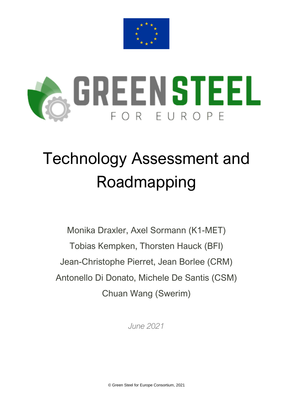



# Technology Assessment and Roadmapping

Monika Draxler, Axel Sormann (K1-MET) Tobias Kempken, Thorsten Hauck (BFI) Jean-Christophe Pierret, Jean Borlee (CRM) Antonello Di Donato, Michele De Santis (CSM) Chuan Wang (Swerim)

*June 2021*

© Green Steel for Europe Consortium, 2021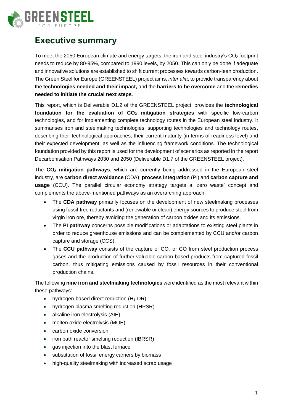

## **Executive summary**

To meet the 2050 European climate and energy targets, the iron and steel industry's  $CO<sub>2</sub>$  footprint needs to reduce by 80-95%, compared to 1990 levels, by 2050. This can only be done if adequate and innovative solutions are established to shift current processes towards carbon-lean production. The Green Steel for Europe (GREENSTEEL) project aims, *inter alia*, to provide transparency about the **technologies needed and their impact,** and the **barriers to be overcome** and the **remedies needed to initiate the crucial next steps**.

This report, which is Deliverable D1.2 of the GREENSTEEL project, provides the **technological foundation for the evaluation of CO<sup>2</sup> mitigation strategies** with specific low-carbon technologies, and for implementing complete technology routes in the European steel industry. It summarises iron and steelmaking technologies, supporting technologies and technology routes, describing their technological approaches, their current maturity (in terms of readiness level) and their expected development, as well as the influencing framework conditions. The technological foundation provided by this report is used for the development of scenarios as reported in the report Decarbonisation Pathways 2030 and 2050 (Deliverable D1.7 of the GREENSTEEL project).

The **CO<sup>2</sup> mitigation pathways**, which are currently being addressed in the European steel industry, are **carbon direct avoidance** (CDA), **process integration** (PI) and **carbon capture and usage** (CCU). The parallel circular economy strategy targets a 'zero waste' concept and complements the above-mentioned pathways as an overarching approach.

- The **CDA pathway** primarily focuses on the development of new steelmaking processes using fossil-free reductants and (renewable or clean) energy sources to produce steel from virgin iron ore, thereby avoiding the generation of carbon oxides and its emissions.
- The **PI pathway** concerns possible modifications or adaptations to existing steel plants in order to reduce greenhouse emissions and can be complemented by CCU and/or carbon capture and storage (CCS).
- The **CCU pathway** consists of the capture of CO<sub>2</sub> or CO from steel production process gases and the production of further valuable carbon-based products from captured fossil carbon, thus mitigating emissions caused by fossil resources in their conventional production chains.

The following **nine iron and steelmaking technologies** were identified as the most relevant within these pathways:

- hydrogen-based direct reduction  $(H_2-DR)$
- hydrogen plasma smelting reduction (HPSR)
- alkaline iron electrolysis (AIE)
- molten oxide electrolysis (MOE)
- carbon oxide conversion
- iron bath reactor smelting reduction (IBRSR)
- gas injection into the blast furnace
- substitution of fossil energy carriers by biomass
- high-quality steelmaking with increased scrap usage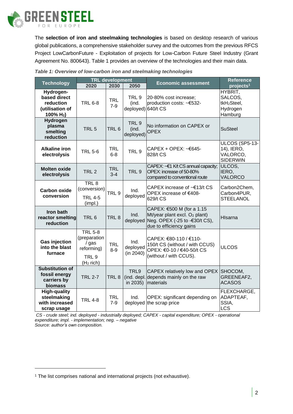

The **selection of iron and steelmaking technologies** is based on desktop research of various global publications, a comprehensive stakeholder survey and the outcomes from the previous RFCS Project LowCarbonFuture - Exploitation of projects for Low-Carbon Future Steel Industry (Grant Agreement No. 800643). [Table 1](#page-2-0) provides an overview of the technologies and their main data.

|                                                                           | <b>TRL</b> development                                                                               |                       |                                                 |                                                                                                                                             | <b>Reference</b>                                                     |
|---------------------------------------------------------------------------|------------------------------------------------------------------------------------------------------|-----------------------|-------------------------------------------------|---------------------------------------------------------------------------------------------------------------------------------------------|----------------------------------------------------------------------|
| <b>Technology</b>                                                         | 2020                                                                                                 | 2030                  | 2050                                            | <b>Economic assessment</b>                                                                                                                  | projects <sup>1</sup>                                                |
| Hydrogen-<br>based direct<br>reduction<br>(utilisation of<br>100% $H_2$ ) | <b>TRL 6-8</b>                                                                                       | <b>TRL</b><br>$7-9$   | TRL <sub>9</sub><br>(ind.<br>deployed) 640/t CS | 20-80% cost increase;<br>production costs: ~€532-                                                                                           | HYBRIT,<br>SALCOS,<br>tkH <sub>2</sub> Steel,<br>Hydrogen<br>Hamburg |
| Hydrogen<br>plasma<br>smelting<br>reduction                               | TRL <sub>5</sub>                                                                                     | TRL <sub>6</sub>      | TRL <sub>9</sub><br>(ind.<br>deployed)          | No information on CAPEX or<br><b>OPEX</b>                                                                                                   | <b>SuSteel</b>                                                       |
| <b>Alkaline iron</b><br>electrolysis                                      | <b>TRL 5-6</b>                                                                                       | <b>TRL</b><br>$6 - 8$ | TRL <sub>9</sub>                                | CAPEX + OPEX: $\sim$ $645$ -<br>828/t CS                                                                                                    | ULCOS (SP5-13-<br>14), IERO,<br>VALORCO,<br><b>SIDERWIN</b>          |
| <b>Molten oxide</b><br>electrolysis                                       | TRL <sub>2</sub>                                                                                     | <b>TRL</b><br>$3 - 4$ | TRL <sub>9</sub>                                | CAPEX: ~€1 K/t CS annual capacity;<br>OPEX: increase of 50-80%<br>compared to conventional route                                            | ULCOS,<br>IERO,<br>VALORCO                                           |
| <b>Carbon oxide</b><br>conversion                                         | TRL <sub>8</sub><br>(conversion)<br><b>TRL 4-5</b><br>(impl.)                                        | TRL <sub>9</sub>      | Ind.<br>deployed                                | CAPEX increase of ~€13/t CS<br>OPEX increase of €408-<br>629/t CS                                                                           | Carbon2Chem,<br>Carbon4PUR,<br><b>STEELANOL</b>                      |
| Iron bath<br>reactor smelting<br>reduction                                | TRL <sub>6</sub>                                                                                     | TRL <sub>8</sub>      | Ind.                                            | CAPEX: €500 M (for a 1.15<br>Mt/year plant excl. O <sub>2</sub> plant)<br>deployed Neg. OPEX (-25 to -€30/t CS),<br>due to efficiency gains | HIsarna                                                              |
| <b>Gas injection</b><br>into the blast<br>furnace                         | <b>TRL 5-8</b><br>(preparation<br>$\frac{1}{2}$ gas<br>reforming)<br>TRL <sub>9</sub><br>$(H2$ rich) | <b>TRL</b><br>$8-9$   | Ind.<br>deployed<br>(in 2040)                   | CAPEX: €80-110 / €110-<br>150/t CS (without / with CCUS)<br>OPEX: €0-10 / €40-50/t CS<br>(without / with CCUS).                             | <b>ULCOS</b>                                                         |
| <b>Substitution of</b><br>fossil energy<br>carriers by<br>biomass         | <b>TRL 2-7</b>                                                                                       | TRL <sub>8</sub>      | TRL9<br>in 2035)                                | CAPEX relatively low and OPEX<br>(ind. depl. depends mainly on the raw<br>materials                                                         | SHOCOM,<br>GREENEAF2,<br><b>ACASOS</b>                               |
| <b>High-quality</b><br>steelmaking<br>with increased<br>scrap usage       | <b>TRL 4-8</b>                                                                                       | <b>TRL</b><br>$7-9$   | Ind.                                            | OPEX: significant depending on<br>deployed the scrap price                                                                                  | FLEXCHARGE,<br>ADAPTEAF,<br>SSIA,<br><b>LCS</b>                      |

<span id="page-2-0"></span>

| Table 1: Overview of low-carbon iron and steelmaking technologies |  |  |
|-------------------------------------------------------------------|--|--|
|                                                                   |  |  |

*CS - crude steel; ind. deployed - industrially deployed; CAPEX - capital expenditure; OPEX - operational expenditure; impl. - implementation; neg. – negative Source: author's own composition.*

<sup>&</sup>lt;sup>1</sup> The list comprises national and international projects (not exhaustive).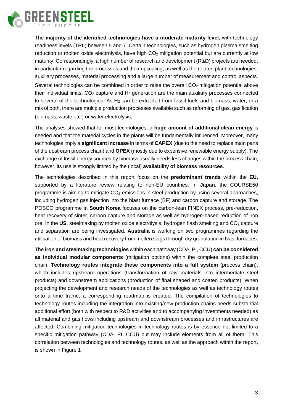

The **majority of the identified technologies have a moderate maturity level**, with technology readiness levels (TRL) between 5 and 7. Certain technologies, such as hydrogen plasma smelting reduction or molten oxide electrolysis, have high  $CO<sub>2</sub>$  mitigation potential but are currently at low maturity. Correspondingly, a high number of research and development (R&D) projects are needed, in particular regarding the processes and their upscaling, as well as the related plant technologies, auxiliary processes, material processing and a large number of measurement and control aspects. Several technologies can be combined in order to raise the overall CO<sub>2</sub> mitigation potential above their individual limits.  $CO<sub>2</sub>$  capture and  $H<sub>2</sub>$  generation are the main auxiliary processes connected to several of the technologies. As  $H_2$  can be extracted from fossil fuels and biomass, water, or a mix of both, there are multiple production processes available such as reforming of gas, gasification (biomass, waste etc.) or water electrolysis.

The analyses showed that for most technologies, a **huge amount of additional clean energy** is needed and that the material cycles in the plants will be fundamentally influenced. Moreover, many technologies imply a **significant increase** in terms of **CAPEX** (due to the need to replace main parts of the upstream process chain) and **OPEX** (mostly due to expensive renewable energy supply). The exchange of fossil energy sources by biomass usually needs less changes within the process chain; however, its use is strongly limited by the (local) **availability of biomass resources**.

The technologies described in this report focus on the **predominant trends** within the **EU**, supported by a literature review relating to non-EU countries. In **Japan**, the COURSE50 programme is aiming to mitigate  $CO<sub>2</sub>$  emissions in steel production by using several approaches, including hydrogen gas injection into the blast furnace (BF) and carbon capture and storage. The POSCO programme in **South Korea** focuses on the carbon-lean FINEX process, pre-reduction, heat recovery of sinter, carbon capture and storage as well as hydrogen-based reduction of iron ore. In the US, steelmaking by molten oxide electrolysis, hydrogen flash smelting and CO<sub>2</sub> capture and separation are being investigated. **Australia** is working on two programmes regarding the utilisation of biomass and heat recovery from molten slags through dry granulation in blast furnaces.

The **iron and steelmaking technologies** within each pathway (CDA, PI, CCU) **can be considered as individual modular components** (mitigation options) within the complete steel production chain. **Technology routes integrate these components into a full system** (process chain), which includes upstream operations (transformation of raw materials into intermediate steel products) and downstream applications (production of final shaped and coated products). When projecting the development and research needs of the technologies as well as technology routes onto a time frame, a corresponding roadmap is created. The compilation of technologies to technology routes including the integration into existing/new production chains needs substantial additional effort (both with respect to R&D activities and to accompanying investments needed) as all material and gas flows including upstream and downstream processes and infrastructures are affected. Combining mitigation technologies in technology routes is by essence not limited to a specific mitigation pathway (CDA, PI, CCU) but may include elements from all of them. This correlation between technologies and technology routes, as well as the approach within the report, is shown in Figure 1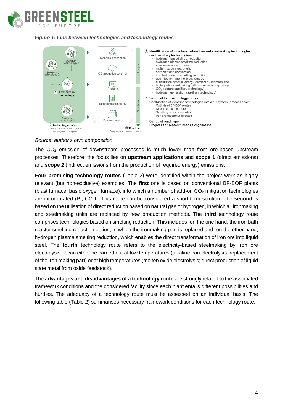

#### *Figure 1: Link between technologies and technology routes*



#### *Source: author's own composition.*

The  $CO<sub>2</sub>$  emission of downstream processes is much lower than from ore-based upstream processes. Therefore, the focus lies on **upstream applications** and **scope 1** (direct emissions) and **scope 2** (indirect emissions from the production of required energy) emissions.

**Four promising technology routes** [\(Table 2\)](#page-5-0) were identified within the project work as highly relevant (but non-exclusive) examples. The **first** one is based on conventional BF-BOF plants (blast furnace, basic oxygen furnace), into which a number of add-on  $CO<sub>2</sub>$  mitigation technologies are incorporated (PI, CCU). This route can be considered a short-term solution. The **second** is based on the utilisation of direct reduction based on natural gas or hydrogen, in which all ironmaking and steelmaking units are replaced by new production methods. The **third** technology route comprises technologies based on smelting reduction. This includes, on the one hand, the iron bath reactor smelting reduction option, in which the ironmaking part is replaced and, on the other hand, hydrogen plasma smelting reduction, which enables the direct transformation of iron ore into liquid steel. The **fourth** technology route refers to the electricity-based steelmaking by iron ore electrolysis. It can either be carried out at low temperatures (alkaline iron electrolysis; replacement of the iron making part) or at high temperatures (molten oxide electrolysis; direct production of liquid state metal from oxide feedstock).

The **advantages and disadvantages of a technology route** are strongly related to the associated framework conditions and the considered facility since each plant entails different possibilities and hurdles. The adequacy of a technology route must be assessed on an individual basis. The following table [\(Table 2\)](#page-5-0) summarises necessary framework conditions for each technology route.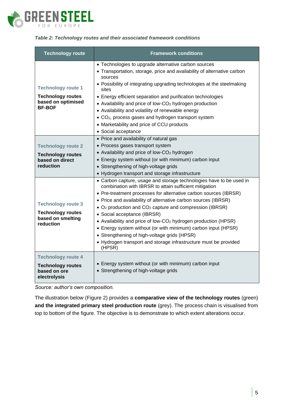

#### <span id="page-5-0"></span>*Table 2: Technology routes and their associated framework conditions*

| <b>Technology route</b>                                                                      | <b>Framework conditions</b>                                                                                                                                                                                                                                                                                                                                                                                                                                                                                                                                                                                                                                        |  |  |  |
|----------------------------------------------------------------------------------------------|--------------------------------------------------------------------------------------------------------------------------------------------------------------------------------------------------------------------------------------------------------------------------------------------------------------------------------------------------------------------------------------------------------------------------------------------------------------------------------------------------------------------------------------------------------------------------------------------------------------------------------------------------------------------|--|--|--|
| <b>Technology route 1</b><br><b>Technology routes</b><br>based on optimised<br><b>BF-BOF</b> | • Technologies to upgrade alternative carbon sources<br>• Transportation, storage, price and availability of alternative carbon<br>sources<br>• Possibility of integrating upgrading technologies at the steelmaking<br>sites<br>• Energy efficient separation and purification technologies<br>• Availability and price of low-CO <sub>2</sub> hydrogen production<br>• Availability and volatility of renewable energy<br>• CO <sub>2</sub> , process gases and hydrogen transport system<br>• Marketability and price of CCU products<br>· Social acceptance                                                                                                    |  |  |  |
| <b>Technology route 2</b><br><b>Technology routes</b><br>based on direct<br>reduction        | • Price and availability of natural gas<br>• Process gases transport system<br>• Availability and price of low-CO <sub>2</sub> hydrogen<br>• Energy system without (or with minimum) carbon input<br>• Strengthening of high-voltage grids<br>• Hydrogen transport and storage infrastructure                                                                                                                                                                                                                                                                                                                                                                      |  |  |  |
| <b>Technology route 3</b><br><b>Technology routes</b><br>based on smelting<br>reduction      | • Carbon capture, usage and storage technologies have to be used in<br>combination with IBRSR to attain sufficient mitigation<br>• Pre-treatment processes for alternative carbon sources (IBRSR)<br>• Price and availability of alternative carbon sources (IBRSR)<br>• O <sub>2</sub> production and CO <sub>2</sub> capture and compression (IBRSR)<br>• Social acceptance (IBRSR)<br>• Availability and price of low-CO <sub>2</sub> hydrogen production (HPSR)<br>• Energy system without (or with minimum) carbon input (HPSR)<br>• Strengthening of high-voltage grids (HPSR)<br>• Hydrogen transport and storage infrastructure must be provided<br>(HPSR) |  |  |  |
| <b>Technology route 4</b><br><b>Technology routes</b><br>based on ore<br>electrolysis        | • Energy system without (or with minimum) carbon input<br>• Strengthening of high-voltage grids                                                                                                                                                                                                                                                                                                                                                                                                                                                                                                                                                                    |  |  |  |

*Source: author's own composition.*

The illustration below [\(Figure 2\)](#page-6-0) provides a **comparative view of the technology routes** (green) **and the integrated primary steel production route** (grey). The process chain is visualised from top to bottom of the figure. The objective is to demonstrate to which extent alterations occur.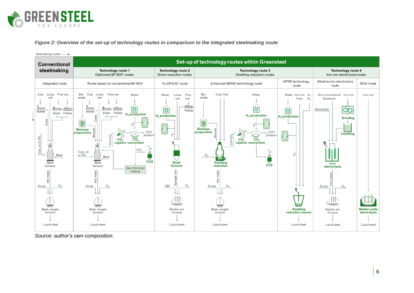

*Figure 2: Overview of the set-up of technology routes in comparison to the integrated steelmaking route*



<span id="page-6-0"></span>*Source: author's own composition.*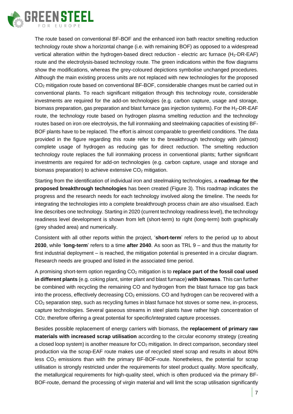

The route based on conventional BF-BOF and the enhanced iron bath reactor smelting reduction technology route show a horizontal change (i.e. with remaining BOF) as opposed to a widespread vertical alteration within the hydrogen-based direct reduction - electric arc furnace (H<sub>2</sub>-DR-EAF) route and the electrolysis-based technology route. The green indications within the flow diagrams show the modifications, whereas the grey-coloured depictions symbolise unchanged procedures. Although the main existing process units are not replaced with new technologies for the proposed CO<sup>2</sup> mitigation route based on conventional BF-BOF, considerable changes must be carried out in conventional plants. To reach significant mitigation through this technology route, considerable investments are required for the add-on technologies (e.g. carbon capture, usage and storage, biomass preparation, gas preparation and blast furnace gas injection systems). For the  $H_2$ -DR-EAF route, the technology route based on hydrogen plasma smelting reduction and the technology routes based on iron ore electrolysis, the full ironmaking and steelmaking capacities of existing BF-BOF plants have to be replaced. The effort is almost comparable to greenfield conditions. The data provided in the figure regarding this route refer to the breakthrough technology with (almost) complete usage of hydrogen as reducing gas for direct reduction. The smelting reduction technology route replaces the full ironmaking process in conventional plants; further significant investments are required for add-on technologies (e.g. carbon capture, usage and storage and biomass preparation) to achieve extensive CO<sub>2</sub> mitigation.

Starting from the identification of individual iron and steelmaking technologies, a **roadmap for the proposed breakthrough technologies** has been created [\(Figure 3\)](#page-9-0). This roadmap indicates the progress and the research needs for each technology involved along the timeline. The needs for integrating the technologies into a complete breakthrough process chain are also visualised. Each line describes one technology. Starting in 2020 (current technology readiness level), the technology readiness level development is shown from left (short-term) to right (long-term) both graphically (grey shaded area) and numerically.

Consistent with all other reports within the project, '**short-term**' refers to the period up to about **2030**, while '**long-term**' refers to a time **after 2040**. As soon as TRL 9 – and thus the maturity for first industrial deployment – is reached, the mitigation potential is presented in a circular diagram. Research needs are grouped and listed in the associated time period.

A promising short-term option regarding CO<sup>2</sup> mitigation is to **replace part of the fossil coal used in different plants** (e.g. coking plant, sinter plant and blast furnace) **with biomass**. This can further be combined with recycling the remaining CO and hydrogen from the blast furnace top gas back into the process, effectively decreasing  $CO<sub>2</sub>$  emissions. CO and hydrogen can be recovered with a CO<sup>2</sup> separation step, such as recycling fumes in blast furnace hot stoves or some new, in-process, capture technologies. Several gaseous streams in steel plants have rather high concentration of CO2, therefore offering a great potential for specific/integrated capture processes.

Besides possible replacement of energy carriers with biomass, the **replacement of primary raw materials with increased scrap utilisation** according to the circular economy strategy (creating a closed loop system) is another measure for  $CO<sub>2</sub>$  mitigation. In direct comparison, secondary steel production via the scrap-EAF route makes use of recycled steel scrap and results in about 80% less  $CO<sub>2</sub>$  emissions than with the primary BF-BOF-route. Nonetheless, the potential for scrap utilisation is strongly restricted under the requirements for steel product quality. More specifically, the metallurgical requirements for high-quality steel, which is often produced via the primary BF-BOF-route, demand the processing of virgin material and will limit the scrap utilisation significantly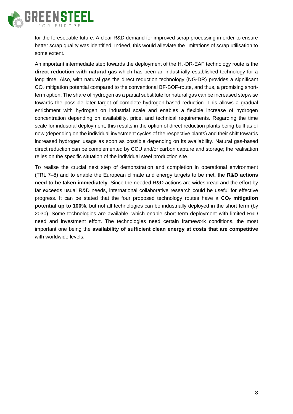

for the foreseeable future. A clear R&D demand for improved scrap processing in order to ensure better scrap quality was identified. Indeed, this would alleviate the limitations of scrap utilisation to some extent.

An important intermediate step towards the deployment of the H<sub>2</sub>-DR-EAF technology route is the **direct reduction with natural gas** which has been an industrially established technology for a long time. Also, with natural gas the direct reduction technology (NG-DR) provides a significant CO<sub>2</sub> mitigation potential compared to the conventional BF-BOF-route, and thus, a promising shortterm option. The share of hydrogen as a partial substitute for natural gas can be increased stepwise towards the possible later target of complete hydrogen-based reduction. This allows a gradual enrichment with hydrogen on industrial scale and enables a flexible increase of hydrogen concentration depending on availability, price, and technical requirements. Regarding the time scale for industrial deployment, this results in the option of direct reduction plants being built as of now (depending on the individual investment cycles of the respective plants) and their shift towards increased hydrogen usage as soon as possible depending on its availability. Natural gas-based direct reduction can be complemented by CCU and/or carbon capture and storage; the realisation relies on the specific situation of the individual steel production site.

To realise the crucial next step of demonstration and completion in operational environment (TRL 7–8) and to enable the European climate and energy targets to be met, the **R&D actions need to be taken immediately**. Since the needed R&D actions are widespread and the effort by far exceeds usual R&D needs, international collaborative research could be useful for effective progress. It can be stated that the four proposed technology routes have a **CO<sup>2</sup> mitigation potential up to 100%,** but not all technologies can be industrially deployed in the short term (by 2030). Some technologies are available, which enable short-term deployment with limited R&D need and investment effort. The technologies need certain framework conditions, the most important one being the **availability of sufficient clean energy at costs that are competitive** with worldwide levels.